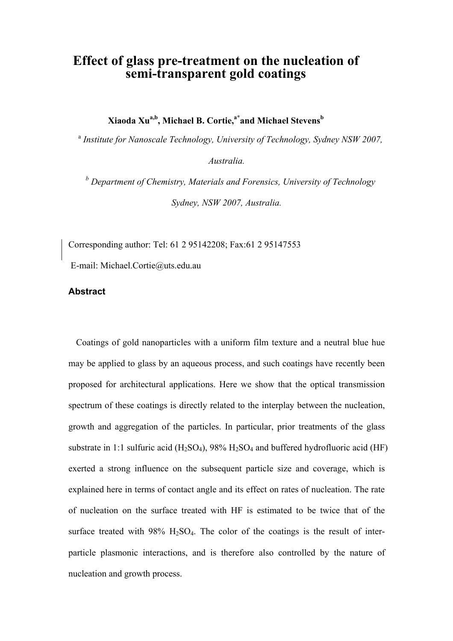# **Effect of glass pre-treatment on the nucleation of semi-transparent gold coatings**

**Xiaoda Xua,b, Michael B. Cortie,a\*and Michael Stevensb** 

<sup>a</sup> Institute for Nanoscale Technology, University of Technology, Sydney NSW 2007,

*Australia.* 

*b Department of Chemistry, Materials and Forensics, University of Technology Sydney, NSW 2007, Australia.* 

Corresponding author: Tel: 61 2 95142208; Fax:61 2 95147553

E-mail: Michael.Cortie@uts.edu.au

# **Abstract**

Coatings of gold nanoparticles with a uniform film texture and a neutral blue hue may be applied to glass by an aqueous process, and such coatings have recently been proposed for architectural applications. Here we show that the optical transmission spectrum of these coatings is directly related to the interplay between the nucleation, growth and aggregation of the particles. In particular, prior treatments of the glass substrate in 1:1 sulfuric acid  $(H_2SO_4)$ , 98%  $H_2SO_4$  and buffered hydrofluoric acid (HF) exerted a strong influence on the subsequent particle size and coverage, which is explained here in terms of contact angle and its effect on rates of nucleation. The rate of nucleation on the surface treated with HF is estimated to be twice that of the surface treated with  $98\%$  H<sub>2</sub>SO<sub>4</sub>. The color of the coatings is the result of interparticle plasmonic interactions, and is therefore also controlled by the nature of nucleation and growth process.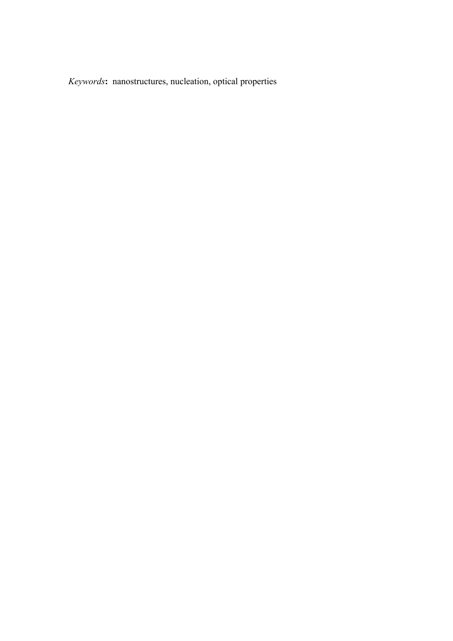*Keywords***:** nanostructures, nucleation, optical properties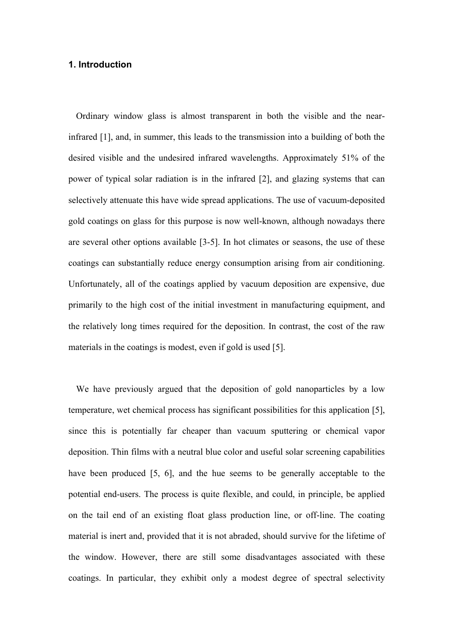## **1. Introduction**

Ordinary window glass is almost transparent in both the visible and the nearinfrared [1], and, in summer, this leads to the transmission into a building of both the desired visible and the undesired infrared wavelengths. Approximately 51% of the power of typical solar radiation is in the infrared [2], and glazing systems that can selectively attenuate this have wide spread applications. The use of vacuum-deposited gold coatings on glass for this purpose is now well-known, although nowadays there are several other options available [3-5]. In hot climates or seasons, the use of these coatings can substantially reduce energy consumption arising from air conditioning. Unfortunately, all of the coatings applied by vacuum deposition are expensive, due primarily to the high cost of the initial investment in manufacturing equipment, and the relatively long times required for the deposition. In contrast, the cost of the raw materials in the coatings is modest, even if gold is used [5].

We have previously argued that the deposition of gold nanoparticles by a low temperature, wet chemical process has significant possibilities for this application [5], since this is potentially far cheaper than vacuum sputtering or chemical vapor deposition. Thin films with a neutral blue color and useful solar screening capabilities have been produced [5, 6], and the hue seems to be generally acceptable to the potential end-users. The process is quite flexible, and could, in principle, be applied on the tail end of an existing float glass production line, or off-line. The coating material is inert and, provided that it is not abraded, should survive for the lifetime of the window. However, there are still some disadvantages associated with these coatings. In particular, they exhibit only a modest degree of spectral selectivity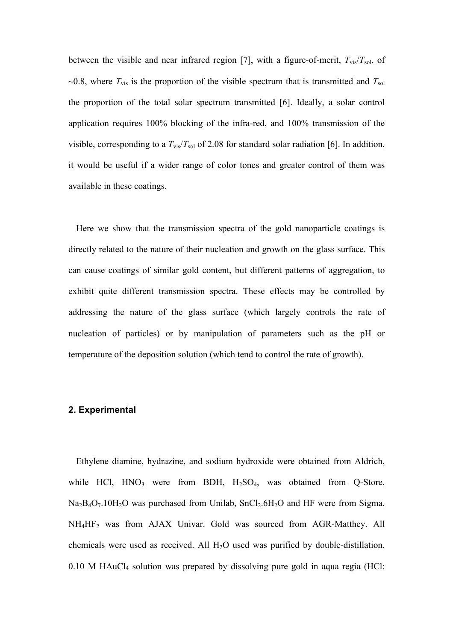between the visible and near infrared region [7], with a figure-of-merit,  $T_{\text{vis}}/T_{\text{sol}}$ , of  $\sim$ 0.8, where  $T_{\text{vis}}$  is the proportion of the visible spectrum that is transmitted and  $T_{\text{sol}}$ the proportion of the total solar spectrum transmitted [6]. Ideally, a solar control application requires 100% blocking of the infra-red, and 100% transmission of the visible, corresponding to a  $T_{\text{vis}}/T_{\text{sol}}$  of 2.08 for standard solar radiation [6]. In addition, it would be useful if a wider range of color tones and greater control of them was available in these coatings.

Here we show that the transmission spectra of the gold nanoparticle coatings is directly related to the nature of their nucleation and growth on the glass surface. This can cause coatings of similar gold content, but different patterns of aggregation, to exhibit quite different transmission spectra. These effects may be controlled by addressing the nature of the glass surface (which largely controls the rate of nucleation of particles) or by manipulation of parameters such as the pH or temperature of the deposition solution (which tend to control the rate of growth).

#### **2. Experimental**

Ethylene diamine, hydrazine, and sodium hydroxide were obtained from Aldrich, while HCl,  $HNO<sub>3</sub>$  were from BDH,  $H<sub>2</sub>SO<sub>4</sub>$ , was obtained from Q-Store,  $Na<sub>2</sub>B<sub>4</sub>O<sub>7</sub>$ .10H<sub>2</sub>O was purchased from Unilab, SnCl<sub>2</sub>.6H<sub>2</sub>O and HF were from Sigma, NH4HF2 was from AJAX Univar. Gold was sourced from AGR-Matthey. All chemicals were used as received. All H<sub>2</sub>O used was purified by double-distillation.  $0.10$  M HAuCl<sub>4</sub> solution was prepared by dissolving pure gold in aqua regia (HCl: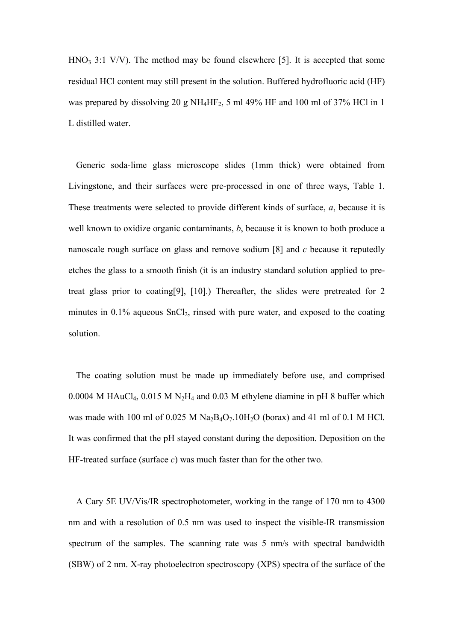$HNO<sub>3</sub>$  3:1 V/V). The method may be found elsewhere [5]. It is accepted that some residual HCl content may still present in the solution. Buffered hydrofluoric acid (HF) was prepared by dissolving 20 g NH4HF2, 5 ml 49% HF and 100 ml of 37% HCl in 1 L distilled water.

Generic soda-lime glass microscope slides (1mm thick) were obtained from Livingstone, and their surfaces were pre-processed in one of three ways, Table 1. These treatments were selected to provide different kinds of surface, *a*, because it is well known to oxidize organic contaminants, *b*, because it is known to both produce a nanoscale rough surface on glass and remove sodium [8] and *c* because it reputedly etches the glass to a smooth finish (it is an industry standard solution applied to pretreat glass prior to coating[9], [10].) Thereafter, the slides were pretreated for 2 minutes in  $0.1\%$  aqueous SnCl<sub>2</sub>, rinsed with pure water, and exposed to the coating solution.

The coating solution must be made up immediately before use, and comprised 0.0004 M HAuCl<sub>4</sub>, 0.015 M N<sub>2</sub>H<sub>4</sub> and 0.03 M ethylene diamine in pH 8 buffer which was made with 100 ml of  $0.025$  M Na<sub>2</sub>B<sub>4</sub>O<sub>7</sub>.10H<sub>2</sub>O (borax) and 41 ml of 0.1 M HCl. It was confirmed that the pH stayed constant during the deposition. Deposition on the HF-treated surface (surface *c*) was much faster than for the other two.

A Cary 5E UV/Vis/IR spectrophotometer, working in the range of 170 nm to 4300 nm and with a resolution of 0.5 nm was used to inspect the visible-IR transmission spectrum of the samples. The scanning rate was 5 nm/s with spectral bandwidth (SBW) of 2 nm. X-ray photoelectron spectroscopy (XPS) spectra of the surface of the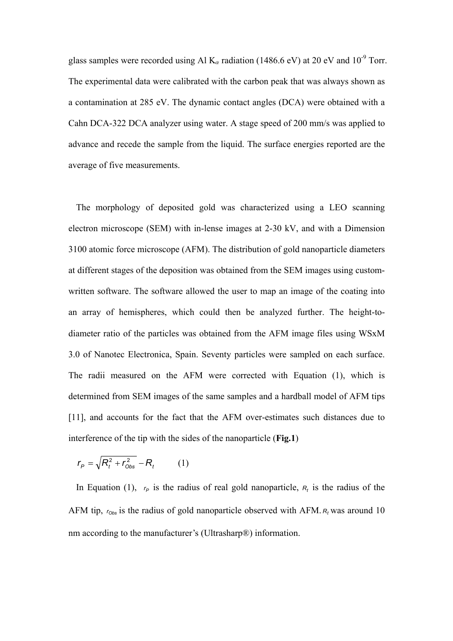glass samples were recorded using Al  $K_{\alpha}$  radiation (1486.6 eV) at 20 eV and 10<sup>-9</sup> Torr. The experimental data were calibrated with the carbon peak that was always shown as a contamination at 285 eV. The dynamic contact angles (DCA) were obtained with a Cahn DCA-322 DCA analyzer using water. A stage speed of 200 mm/s was applied to advance and recede the sample from the liquid. The surface energies reported are the average of five measurements.

The morphology of deposited gold was characterized using a LEO scanning electron microscope (SEM) with in-lense images at 2-30 kV, and with a Dimension 3100 atomic force microscope (AFM). The distribution of gold nanoparticle diameters at different stages of the deposition was obtained from the SEM images using customwritten software. The software allowed the user to map an image of the coating into an array of hemispheres, which could then be analyzed further. The height-todiameter ratio of the particles was obtained from the AFM image files using WSxM 3.0 of Nanotec Electronica, Spain. Seventy particles were sampled on each surface. The radii measured on the AFM were corrected with Equation (1), which is determined from SEM images of the same samples and a hardball model of AFM tips [11], and accounts for the fact that the AFM over-estimates such distances due to interference of the tip with the sides of the nanoparticle (**Fig.1**)

$$
r_P = \sqrt{R_t^2 + r_{\text{Obs}}^2} - R_t \tag{1}
$$

In Equation (1),  $r_P$  is the radius of real gold nanoparticle,  $R_t$  is the radius of the AFM tip,  $r_{\text{Obs}}$  is the radius of gold nanoparticle observed with AFM.  $R_t$  was around 10 nm according to the manufacturer's (Ultrasharp®) information.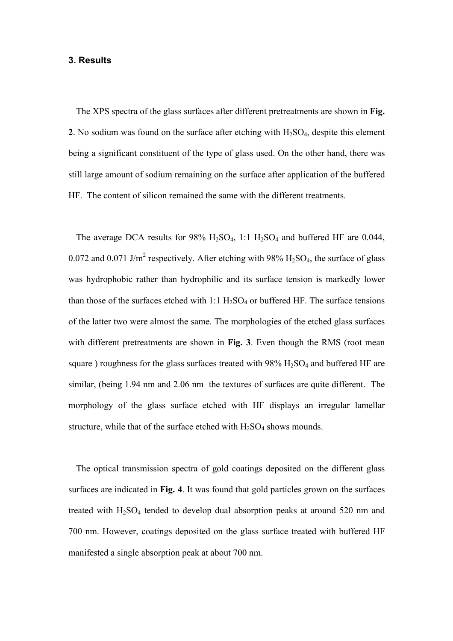#### **3. Results**

The XPS spectra of the glass surfaces after different pretreatments are shown in **Fig. 2**. No sodium was found on the surface after etching with  $H_2SO_4$ , despite this element being a significant constituent of the type of glass used. On the other hand, there was still large amount of sodium remaining on the surface after application of the buffered HF. The content of silicon remained the same with the different treatments.

The average DCA results for  $98\%$  H<sub>2</sub>SO<sub>4</sub>, 1:1 H<sub>2</sub>SO<sub>4</sub> and buffered HF are 0.044, 0.072 and 0.071 J/m<sup>2</sup> respectively. After etching with 98%  $H_2SO_4$ , the surface of glass was hydrophobic rather than hydrophilic and its surface tension is markedly lower than those of the surfaces etched with  $1:1 H<sub>2</sub>SO<sub>4</sub>$  or buffered HF. The surface tensions of the latter two were almost the same. The morphologies of the etched glass surfaces with different pretreatments are shown in **Fig. 3**. Even though the RMS (root mean square) roughness for the glass surfaces treated with  $98\%$  H<sub>2</sub>SO<sub>4</sub> and buffered HF are similar, (being 1.94 nm and 2.06 nm the textures of surfaces are quite different. The morphology of the glass surface etched with HF displays an irregular lamellar structure, while that of the surface etched with  $H_2SO_4$  shows mounds.

The optical transmission spectra of gold coatings deposited on the different glass surfaces are indicated in **Fig. 4**. It was found that gold particles grown on the surfaces treated with  $H<sub>2</sub>SO<sub>4</sub>$  tended to develop dual absorption peaks at around 520 nm and 700 nm. However, coatings deposited on the glass surface treated with buffered HF manifested a single absorption peak at about 700 nm.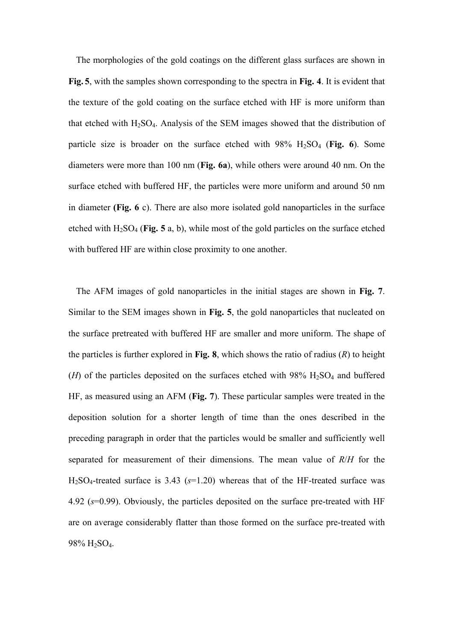The morphologies of the gold coatings on the different glass surfaces are shown in **Fig. 5**, with the samples shown corresponding to the spectra in **Fig. 4**. It is evident that the texture of the gold coating on the surface etched with HF is more uniform than that etched with  $H_2SO_4$ . Analysis of the SEM images showed that the distribution of particle size is broader on the surface etched with 98% H2SO4 (**Fig. 6**). Some diameters were more than 100 nm (**Fig. 6a**), while others were around 40 nm. On the surface etched with buffered HF, the particles were more uniform and around 50 nm in diameter **(Fig. 6** c). There are also more isolated gold nanoparticles in the surface etched with  $H_2SO_4$  (**Fig. 5** a, b), while most of the gold particles on the surface etched with buffered HF are within close proximity to one another.

The AFM images of gold nanoparticles in the initial stages are shown in **Fig. 7**. Similar to the SEM images shown in **Fig. 5**, the gold nanoparticles that nucleated on the surface pretreated with buffered HF are smaller and more uniform. The shape of the particles is further explored in **Fig. 8**, which shows the ratio of radius (*R*) to height  $(H)$  of the particles deposited on the surfaces etched with 98%  $H_2SO_4$  and buffered HF, as measured using an AFM (**Fig. 7**). These particular samples were treated in the deposition solution for a shorter length of time than the ones described in the preceding paragraph in order that the particles would be smaller and sufficiently well separated for measurement of their dimensions. The mean value of *R*/*H* for the H2SO4-treated surface is 3.43 (*s*=1.20) whereas that of the HF-treated surface was 4.92 (*s*=0.99). Obviously, the particles deposited on the surface pre-treated with HF are on average considerably flatter than those formed on the surface pre-treated with 98% H2SO4.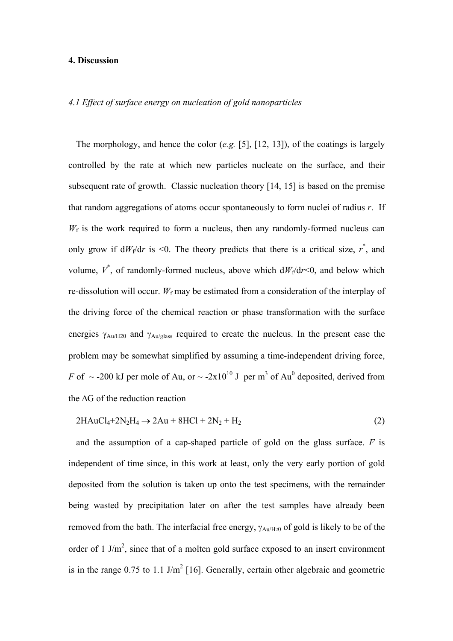#### **4. Discussion**

## *4.1 Effect of surface energy on nucleation of gold nanoparticles*

The morphology, and hence the color (*e.g.* [5], [12, 13]), of the coatings is largely controlled by the rate at which new particles nucleate on the surface, and their subsequent rate of growth. Classic nucleation theory [14, 15] is based on the premise that random aggregations of atoms occur spontaneously to form nuclei of radius *r*. If  $W_f$  is the work required to form a nucleus, then any randomly-formed nucleus can only grow if  $dW_f/dr$  is <0. The theory predicts that there is a critical size,  $r^*$ , and volume,  $V^*$ , of randomly-formed nucleus, above which  $dW_f/dr \le 0$ , and below which re-dissolution will occur.  $W_f$  may be estimated from a consideration of the interplay of the driving force of the chemical reaction or phase transformation with the surface energies γAu/H20 and γAu/glass required to create the nucleus. In the present case the problem may be somewhat simplified by assuming a time-independent driving force, *F* of  $\sim$  -200 kJ per mole of Au, or  $\sim$  -2x10<sup>10</sup> J per m<sup>3</sup> of Au<sup>0</sup> deposited, derived from the ∆G of the reduction reaction

$$
2HAuCl_4 + 2N_2H_4 \rightarrow 2Au + 8HCl + 2N_2 + H_2
$$
\n<sup>(2)</sup>

and the assumption of a cap-shaped particle of gold on the glass surface. *F* is independent of time since, in this work at least, only the very early portion of gold deposited from the solution is taken up onto the test specimens, with the remainder being wasted by precipitation later on after the test samples have already been removed from the bath. The interfacial free energy,  $\gamma_{Au/H20}$  of gold is likely to be of the order of 1 J/ $m^2$ , since that of a molten gold surface exposed to an insert environment is in the range  $0.75$  to 1.1 J/m<sup>2</sup> [16]. Generally, certain other algebraic and geometric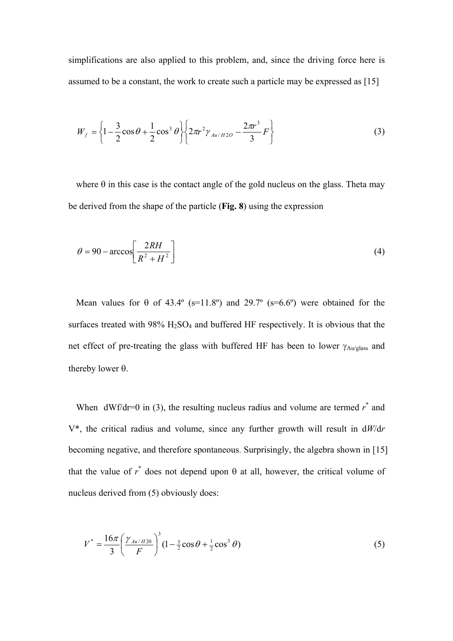simplifications are also applied to this problem, and, since the driving force here is assumed to be a constant, the work to create such a particle may be expressed as [15]

$$
W_f = \left\{1 - \frac{3}{2}\cos\theta + \frac{1}{2}\cos^3\theta\right\} \left\{2\pi r^2 \gamma_{Au/H2O} - \frac{2\pi r^3}{3}F\right\}
$$
(3)

where  $\theta$  in this case is the contact angle of the gold nucleus on the glass. Theta may be derived from the shape of the particle (**Fig. 8**) using the expression

$$
\theta = 90 - \arccos\left[\frac{2RH}{R^2 + H^2}\right]
$$
\n(4)

Mean values for  $\theta$  of 43.4° (s=11.8°) and 29.7° (s=6.6°) were obtained for the surfaces treated with  $98\%$  H<sub>2</sub>SO<sub>4</sub> and buffered HF respectively. It is obvious that the net effect of pre-treating the glass with buffered HF has been to lower  $\gamma_{\text{Au/glass}}$  and thereby lower θ.

When  $dWf/dr=0$  in (3), the resulting nucleus radius and volume are termed  $r^*$  and V\*, the critical radius and volume, since any further growth will result in d*W*/d*r* becoming negative, and therefore spontaneous. Surprisingly, the algebra shown in [15] that the value of  $r^*$  does not depend upon  $\theta$  at all, however, the critical volume of nucleus derived from (5) obviously does:

$$
V^* = \frac{16\pi}{3} \left(\frac{\gamma_{Au/H20}}{F}\right)^3 (1 - \frac{3}{2}\cos\theta + \frac{1}{2}\cos^3\theta)
$$
 (5)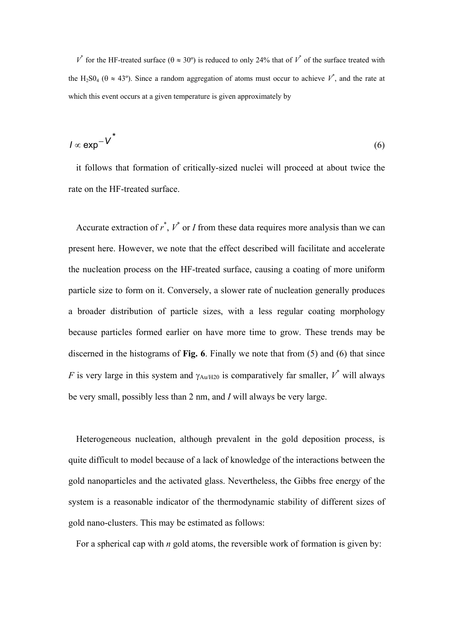$V^*$  for the HF-treated surface ( $\theta \approx 30^\circ$ ) is reduced to only 24% that of  $V^*$  of the surface treated with the H<sub>2</sub>SO<sub>4</sub> ( $\theta \approx 43^{\circ}$ ). Since a random aggregation of atoms must occur to achieve  $V^*$ , and the rate at which this event occurs at a given temperature is given approximately by

$$
I \propto \exp^{-V^*} \tag{6}
$$

it follows that formation of critically-sized nuclei will proceed at about twice the rate on the HF-treated surface.

Accurate extraction of  $r^*$ ,  $V^*$  or *I* from these data requires more analysis than we can present here. However, we note that the effect described will facilitate and accelerate the nucleation process on the HF-treated surface, causing a coating of more uniform particle size to form on it. Conversely, a slower rate of nucleation generally produces a broader distribution of particle sizes, with a less regular coating morphology because particles formed earlier on have more time to grow. These trends may be discerned in the histograms of **Fig. 6**. Finally we note that from (5) and (6) that since *F* is very large in this system and  $\gamma_{Au/H20}$  is comparatively far smaller,  $V^*$  will always be very small, possibly less than 2 nm, and *I* will always be very large.

Heterogeneous nucleation, although prevalent in the gold deposition process, is quite difficult to model because of a lack of knowledge of the interactions between the gold nanoparticles and the activated glass. Nevertheless, the Gibbs free energy of the system is a reasonable indicator of the thermodynamic stability of different sizes of gold nano-clusters. This may be estimated as follows:

For a spherical cap with *n* gold atoms, the reversible work of formation is given by: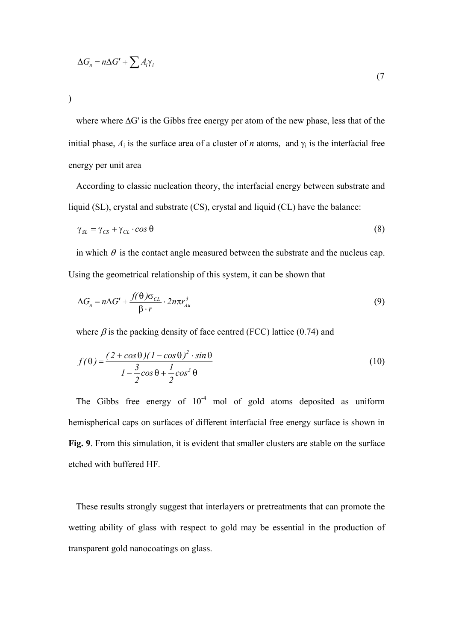$$
\Delta G_n = n\Delta G' + \sum A_i \gamma_i
$$

(7

)

where where ∆G' is the Gibbs free energy per atom of the new phase, less that of the initial phase,  $A_i$  is the surface area of a cluster of *n* atoms, and  $\gamma_i$  is the interfacial free energy per unit area

According to classic nucleation theory, the interfacial energy between substrate and liquid (SL), crystal and substrate (CS), crystal and liquid (CL) have the balance:

$$
\gamma_{SL} = \gamma_{CS} + \gamma_{CL} \cdot \cos \theta \tag{8}
$$

in which  $\theta$  is the contact angle measured between the substrate and the nucleus cap. Using the geometrical relationship of this system, it can be shown that

$$
\Delta G_n = n\Delta G' + \frac{f(\theta)\sigma_{CL}}{\beta \cdot r} \cdot 2n\pi r_{Au}^3
$$
\n(9)

where  $\beta$  is the packing density of face centred (FCC) lattice (0.74) and

$$
f(\theta) = \frac{(2 + \cos \theta)(1 - \cos \theta)^2 \cdot \sin \theta}{1 - \frac{3}{2}\cos \theta + \frac{1}{2}\cos^3 \theta}
$$
 (10)

The Gibbs free energy of  $10^{-4}$  mol of gold atoms deposited as uniform hemispherical caps on surfaces of different interfacial free energy surface is shown in **Fig. 9**. From this simulation, it is evident that smaller clusters are stable on the surface etched with buffered HF.

These results strongly suggest that interlayers or pretreatments that can promote the wetting ability of glass with respect to gold may be essential in the production of transparent gold nanocoatings on glass.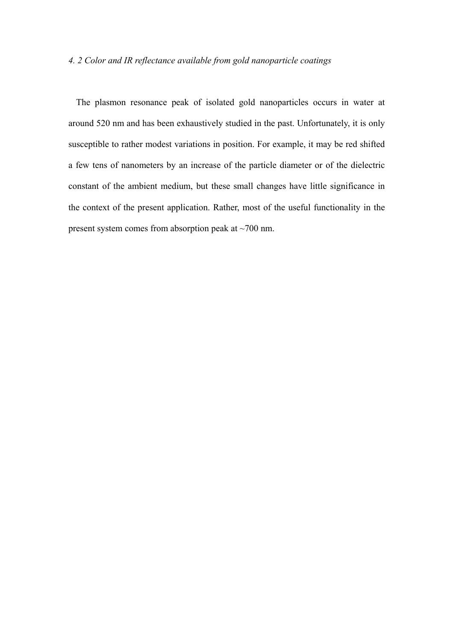## *4. 2 Color and IR reflectance available from gold nanoparticle coatings*

The plasmon resonance peak of isolated gold nanoparticles occurs in water at around 520 nm and has been exhaustively studied in the past. Unfortunately, it is only susceptible to rather modest variations in position. For example, it may be red shifted a few tens of nanometers by an increase of the particle diameter or of the dielectric constant of the ambient medium, but these small changes have little significance in the context of the present application. Rather, most of the useful functionality in the present system comes from absorption peak at ~700 nm.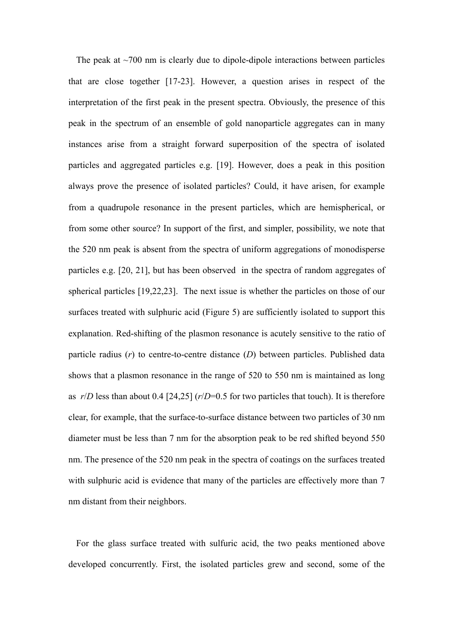The peak at  $\sim$ 700 nm is clearly due to dipole-dipole interactions between particles that are close together [17-23]. However, a question arises in respect of the interpretation of the first peak in the present spectra. Obviously, the presence of this peak in the spectrum of an ensemble of gold nanoparticle aggregates can in many instances arise from a straight forward superposition of the spectra of isolated particles and aggregated particles e.g. [19]. However, does a peak in this position always prove the presence of isolated particles? Could, it have arisen, for example from a quadrupole resonance in the present particles, which are hemispherical, or from some other source? In support of the first, and simpler, possibility, we note that the 520 nm peak is absent from the spectra of uniform aggregations of monodisperse particles e.g. [20, 21], but has been observed in the spectra of random aggregates of spherical particles [19,22,23]. The next issue is whether the particles on those of our surfaces treated with sulphuric acid (Figure 5) are sufficiently isolated to support this explanation. Red-shifting of the plasmon resonance is acutely sensitive to the ratio of particle radius (*r*) to centre-to-centre distance (*D*) between particles. Published data shows that a plasmon resonance in the range of 520 to 550 nm is maintained as long as *r*/*D* less than about 0.4 [24,25] (*r*/*D*=0.5 for two particles that touch). It is therefore clear, for example, that the surface-to-surface distance between two particles of 30 nm diameter must be less than 7 nm for the absorption peak to be red shifted beyond 550 nm. The presence of the 520 nm peak in the spectra of coatings on the surfaces treated with sulphuric acid is evidence that many of the particles are effectively more than 7 nm distant from their neighbors.

For the glass surface treated with sulfuric acid, the two peaks mentioned above developed concurrently. First, the isolated particles grew and second, some of the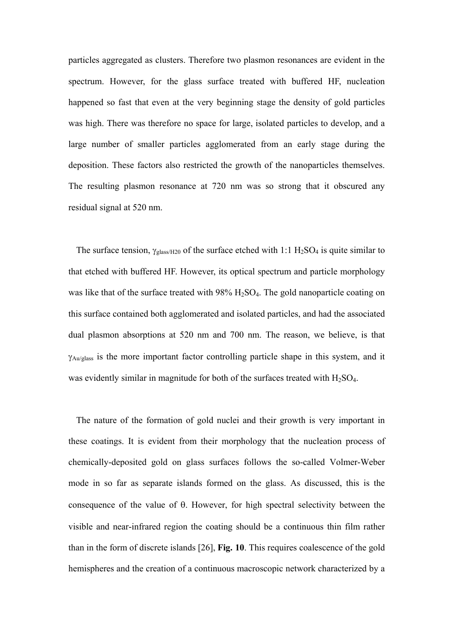particles aggregated as clusters. Therefore two plasmon resonances are evident in the spectrum. However, for the glass surface treated with buffered HF, nucleation happened so fast that even at the very beginning stage the density of gold particles was high. There was therefore no space for large, isolated particles to develop, and a large number of smaller particles agglomerated from an early stage during the deposition. These factors also restricted the growth of the nanoparticles themselves. The resulting plasmon resonance at 720 nm was so strong that it obscured any residual signal at 520 nm.

The surface tension,  $\gamma_{\text{glass/H20}}$  of the surface etched with 1:1 H<sub>2</sub>SO<sub>4</sub> is quite similar to that etched with buffered HF. However, its optical spectrum and particle morphology was like that of the surface treated with 98% H<sub>2</sub>SO<sub>4</sub>. The gold nanoparticle coating on this surface contained both agglomerated and isolated particles, and had the associated dual plasmon absorptions at 520 nm and 700 nm. The reason, we believe, is that γAu/glass is the more important factor controlling particle shape in this system, and it was evidently similar in magnitude for both of the surfaces treated with  $H_2SO_4$ .

The nature of the formation of gold nuclei and their growth is very important in these coatings. It is evident from their morphology that the nucleation process of chemically-deposited gold on glass surfaces follows the so-called Volmer-Weber mode in so far as separate islands formed on the glass. As discussed, this is the consequence of the value of θ. However, for high spectral selectivity between the visible and near-infrared region the coating should be a continuous thin film rather than in the form of discrete islands [26], **Fig. 10**. This requires coalescence of the gold hemispheres and the creation of a continuous macroscopic network characterized by a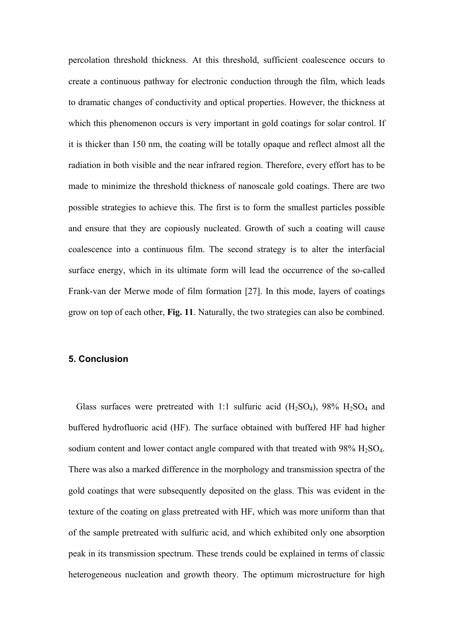percolation threshold thickness. At this threshold, sufficient coalescence occurs to create a continuous pathway for electronic conduction through the film, which leads to dramatic changes of conductivity and optical properties. However, the thickness at which this phenomenon occurs is very important in gold coatings for solar control. If it is thicker than 150 nm, the coating will be totally opaque and reflect almost all the radiation in both visible and the near infrared region. Therefore, every effort has to be made to minimize the threshold thickness of nanoscale gold coatings. There are two possible strategies to achieve this. The first is to form the smallest particles possible and ensure that they are copiously nucleated. Growth of such a coating will cause coalescence into a continuous film. The second strategy is to alter the interfacial surface energy, which in its ultimate form will lead the occurrence of the so-called Frank-van der Merwe mode of film formation [27]. In this mode, layers of coatings grow on top of each other, **Fig. 11**. Naturally, the two strategies can also be combined.

#### **5. Conclusion**

Glass surfaces were pretreated with 1:1 sulfuric acid  $(H_2SO_4)$ , 98%  $H_2SO_4$  and buffered hydrofluoric acid (HF). The surface obtained with buffered HF had higher sodium content and lower contact angle compared with that treated with  $98\%$  H<sub>2</sub>SO<sub>4</sub>. There was also a marked difference in the morphology and transmission spectra of the gold coatings that were subsequently deposited on the glass. This was evident in the texture of the coating on glass pretreated with HF, which was more uniform than that of the sample pretreated with sulfuric acid, and which exhibited only one absorption peak in its transmission spectrum. These trends could be explained in terms of classic heterogeneous nucleation and growth theory. The optimum microstructure for high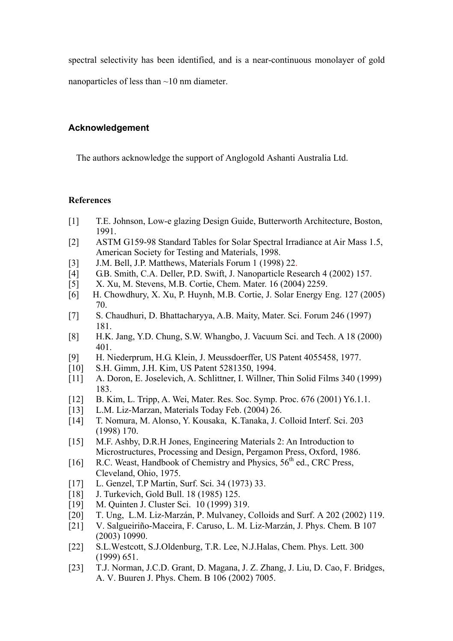spectral selectivity has been identified, and is a near-continuous monolayer of gold

nanoparticles of less than ~10 nm diameter.

# **Acknowledgement**

The authors acknowledge the support of Anglogold Ashanti Australia Ltd.

## **References**

- [1] T.E. Johnson, Low-e glazing Design Guide, Butterworth Architecture, Boston, 1991.
- [2] ASTM G159-98 Standard Tables for Solar Spectral Irradiance at Air Mass 1.5, American Society for Testing and Materials, 1998.
- [3] J.M. Bell, J.P. Matthews, Materials Forum 1 (1998) 22.
- [4] G.B. Smith, C.A. Deller, P.D. Swift, J. Nanoparticle Research 4 (2002) 157.
- [5] X. Xu, M. Stevens, M.B. Cortie, Chem. Mater. 16 (2004) 2259.
- [6] H. Chowdhury, X. Xu, P. Huynh, M.B. Cortie, J. Solar Energy Eng. 127 (2005) 70.
- [7] S. Chaudhuri, D. Bhattacharyya, A.B. Maity, Mater. Sci. Forum 246 (1997) 181.
- [8] H.K. Jang, Y.D. Chung, S.W. Whangbo, J. Vacuum Sci. and Tech. A 18 (2000) 401.
- [9] H. Niederprum, H.G. Klein, J. Meussdoerffer, US Patent 4055458, 1977.
- [10] S.H. Gimm, J.H. Kim, US Patent 5281350, 1994.
- [11] A. Doron, E. Joselevich, A. Schlittner, I. Willner, Thin Solid Films 340 (1999) 183.
- [12] B. Kim, L. Tripp, A. Wei, Mater. Res. Soc. Symp. Proc. 676 (2001) Y6.1.1.
- [13] L.M. Liz-Marzan, Materials Today Feb. (2004) 26.
- [14] T. Nomura, M. Alonso, Y. Kousaka, K.Tanaka, J. Colloid Interf. Sci. 203 (1998) 170.
- [15] M.F. Ashby, D.R.H Jones, Engineering Materials 2: An Introduction to Microstructures, Processing and Design, Pergamon Press, Oxford, 1986.
- [16] R.C. Weast, Handbook of Chemistry and Physics,  $56<sup>th</sup>$  ed., CRC Press, Cleveland, Ohio, 1975.
- [17] L. Genzel, T.P Martin, Surf. Sci. 34 (1973) 33.
- [18] J. Turkevich, Gold Bull. 18 (1985) 125.
- [19] M. Quinten J. Cluster Sci. 10 (1999) 319.
- [20] T. Ung, L.M. Liz-Marzán, P. Mulvaney, Colloids and Surf. A 202 (2002) 119.
- [21] V. Salgueiriño-Maceira, F. Caruso, L. M. Liz-Marzán, J. Phys. Chem. B 107 (2003) 10990.
- [22] S.L.Westcott, S.J.Oldenburg, T.R. Lee, N.J.Halas, Chem. Phys. Lett. 300 (1999) 651.
- [23] T.J. Norman, J.C.D. Grant, D. Magana, J. Z. Zhang, J. Liu, D. Cao, F. Bridges, A. V. Buuren J. Phys. Chem. B 106 (2002) 7005.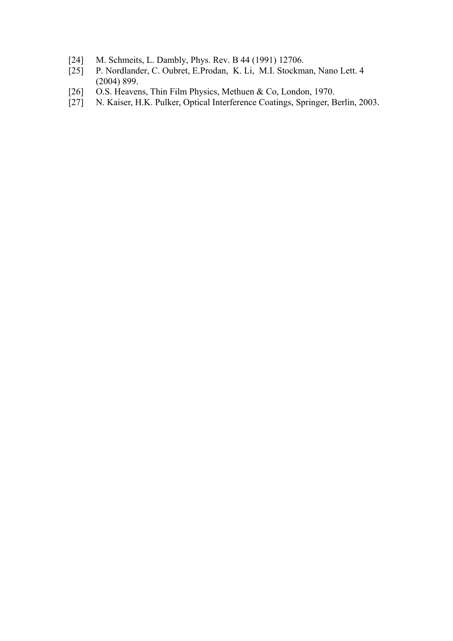- [24] M. Schmeits, L. Dambly, Phys. Rev. B 44 (1991) 12706.
- [25] P. Nordlander, C. Oubret, E.Prodan, K. Li, M.I. Stockman, Nano Lett. 4 (2004) 899.
- 
- [26] O.S. Heavens, Thin Film Physics, Methuen & Co, London, 1970.<br>[27] N. Kaiser, H.K. Pulker, Optical Interference Coatings, Springer, B N. Kaiser, H.K. Pulker, Optical Interference Coatings, Springer, Berlin, 2003.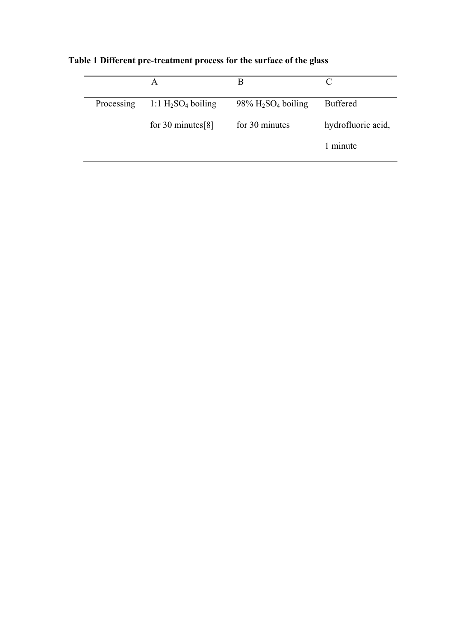|            | A                     | B                                             |                    |
|------------|-----------------------|-----------------------------------------------|--------------------|
| Processing | 1:1 $H_2SO_4$ boiling | $98\%$ H <sub>2</sub> SO <sub>4</sub> boiling | <b>Buffered</b>    |
|            | for 30 minutes $[8]$  | for 30 minutes                                | hydrofluoric acid, |
|            |                       |                                               | 1 minute           |

**Table 1 Different pre-treatment process for the surface of the glass**